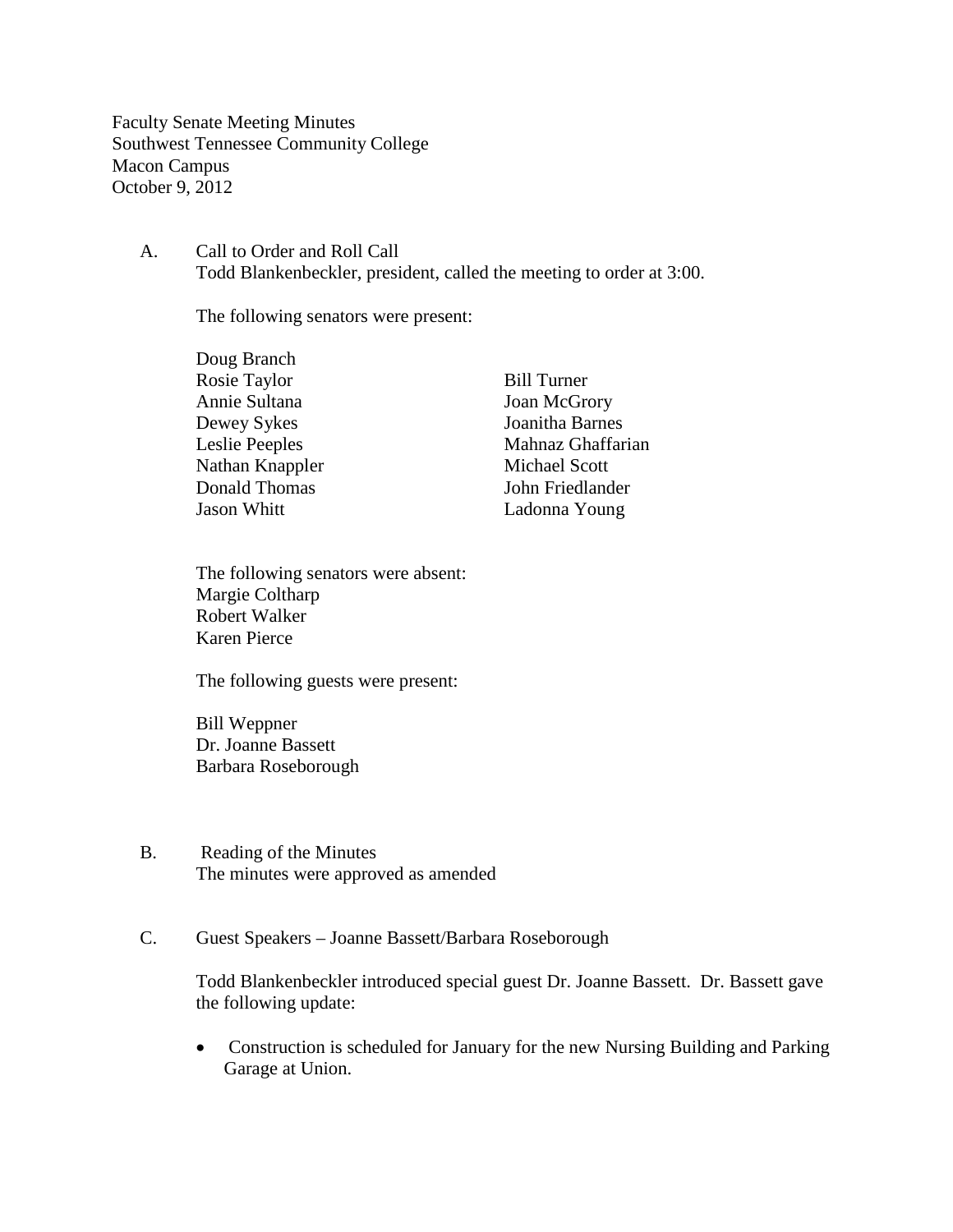Faculty Senate Meeting Minutes Southwest Tennessee Community College Macon Campus October 9, 2012

A. Call to Order and Roll Call Todd Blankenbeckler, president, called the meeting to order at 3:00.

The following senators were present:

| Doug Branch     |                      |
|-----------------|----------------------|
| Rosie Taylor    | <b>Bill Turner</b>   |
| Annie Sultana   | <b>Joan McGrory</b>  |
| Dewey Sykes     | Joanitha Barnes      |
| Leslie Peeples  | Mahnaz Ghaffarian    |
| Nathan Knappler | <b>Michael Scott</b> |
| Donald Thomas   | John Friedlander     |
| Jason Whitt     | Ladonna Young        |

The following senators were absent: Margie Coltharp Robert Walker Karen Pierce

The following guests were present:

Bill Weppner Dr. Joanne Bassett Barbara Roseborough

- B. Reading of the Minutes The minutes were approved as amended
- C. Guest Speakers Joanne Bassett/Barbara Roseborough

Todd Blankenbeckler introduced special guest Dr. Joanne Bassett. Dr. Bassett gave the following update:

• Construction is scheduled for January for the new Nursing Building and Parking Garage at Union.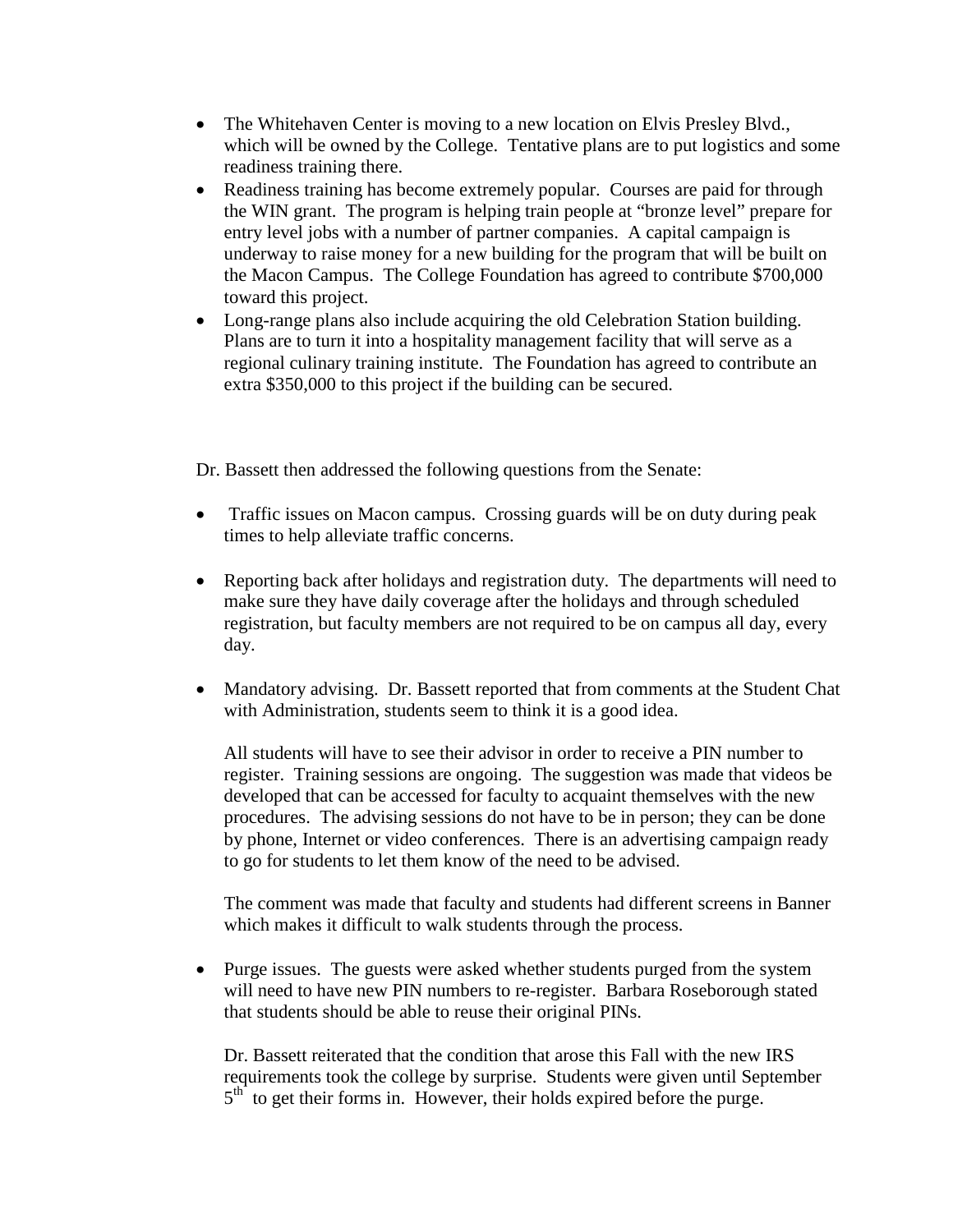- The Whitehaven Center is moving to a new location on Elvis Presley Blvd., which will be owned by the College. Tentative plans are to put logistics and some readiness training there.
- Readiness training has become extremely popular. Courses are paid for through the WIN grant. The program is helping train people at "bronze level" prepare for entry level jobs with a number of partner companies. A capital campaign is underway to raise money for a new building for the program that will be built on the Macon Campus. The College Foundation has agreed to contribute \$700,000 toward this project.
- Long-range plans also include acquiring the old Celebration Station building. Plans are to turn it into a hospitality management facility that will serve as a regional culinary training institute. The Foundation has agreed to contribute an extra \$350,000 to this project if the building can be secured.

Dr. Bassett then addressed the following questions from the Senate:

- Traffic issues on Macon campus. Crossing guards will be on duty during peak times to help alleviate traffic concerns.
- Reporting back after holidays and registration duty. The departments will need to make sure they have daily coverage after the holidays and through scheduled registration, but faculty members are not required to be on campus all day, every day.
- Mandatory advising. Dr. Bassett reported that from comments at the Student Chat with Administration, students seem to think it is a good idea.

All students will have to see their advisor in order to receive a PIN number to register. Training sessions are ongoing. The suggestion was made that videos be developed that can be accessed for faculty to acquaint themselves with the new procedures. The advising sessions do not have to be in person; they can be done by phone, Internet or video conferences. There is an advertising campaign ready to go for students to let them know of the need to be advised.

The comment was made that faculty and students had different screens in Banner which makes it difficult to walk students through the process.

• Purge issues. The guests were asked whether students purged from the system will need to have new PIN numbers to re-register. Barbara Roseborough stated that students should be able to reuse their original PINs.

Dr. Bassett reiterated that the condition that arose this Fall with the new IRS requirements took the college by surprise. Students were given until September  $5<sup>th</sup>$  to get their forms in. However, their holds expired before the purge.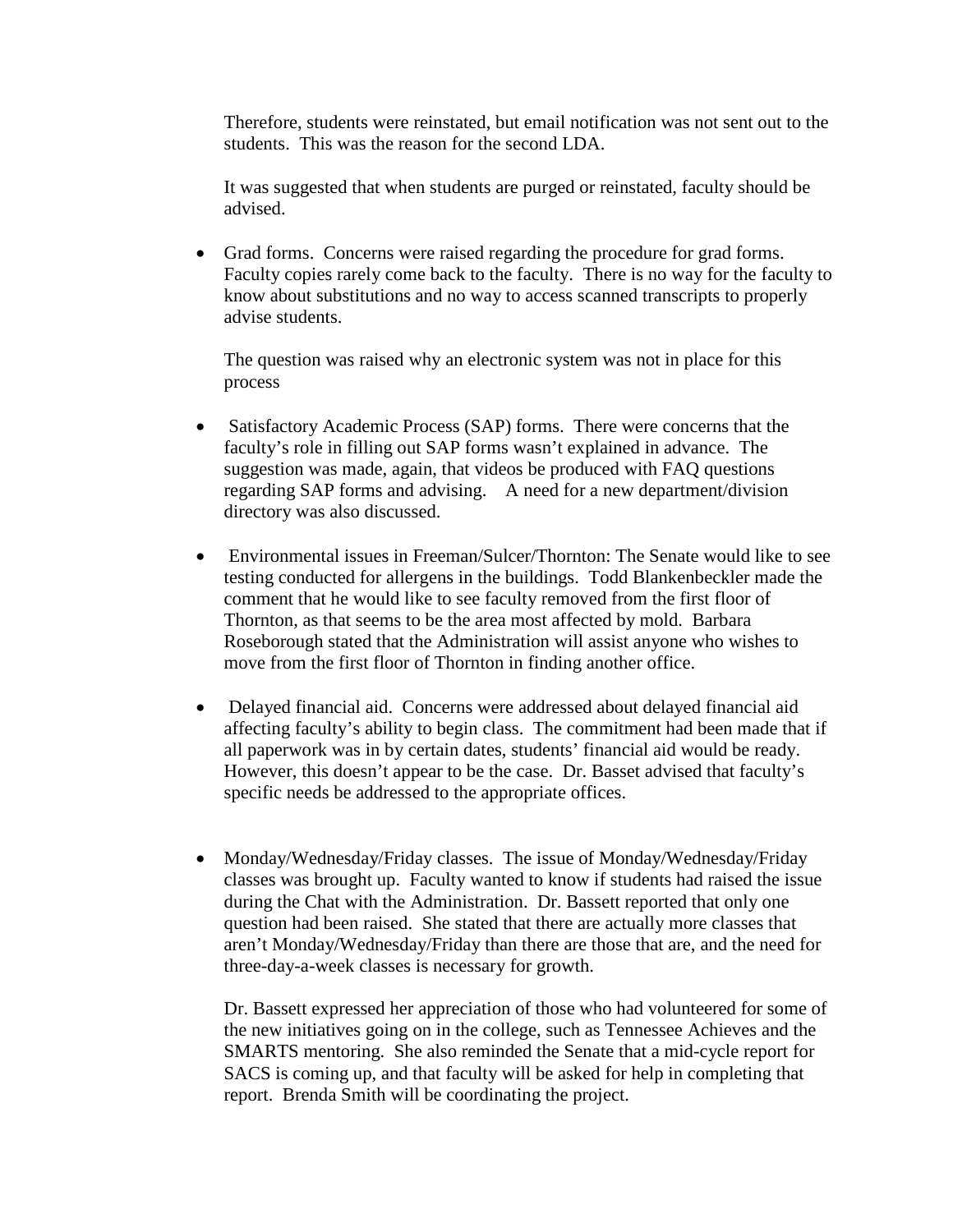Therefore, students were reinstated, but email notification was not sent out to the students. This was the reason for the second LDA.

It was suggested that when students are purged or reinstated, faculty should be advised.

• Grad forms. Concerns were raised regarding the procedure for grad forms. Faculty copies rarely come back to the faculty. There is no way for the faculty to know about substitutions and no way to access scanned transcripts to properly advise students.

The question was raised why an electronic system was not in place for this process

- Satisfactory Academic Process (SAP) forms. There were concerns that the faculty's role in filling out SAP forms wasn't explained in advance. The suggestion was made, again, that videos be produced with FAQ questions regarding SAP forms and advising. A need for a new department/division directory was also discussed.
- Environmental issues in Freeman/Sulcer/Thornton: The Senate would like to see testing conducted for allergens in the buildings. Todd Blankenbeckler made the comment that he would like to see faculty removed from the first floor of Thornton, as that seems to be the area most affected by mold. Barbara Roseborough stated that the Administration will assist anyone who wishes to move from the first floor of Thornton in finding another office.
- Delayed financial aid. Concerns were addressed about delayed financial aid affecting faculty's ability to begin class. The commitment had been made that if all paperwork was in by certain dates, students' financial aid would be ready. However, this doesn't appear to be the case. Dr. Basset advised that faculty's specific needs be addressed to the appropriate offices.
- Monday/Wednesday/Friday classes. The issue of Monday/Wednesday/Friday classes was brought up. Faculty wanted to know if students had raised the issue during the Chat with the Administration. Dr. Bassett reported that only one question had been raised. She stated that there are actually more classes that aren't Monday/Wednesday/Friday than there are those that are, and the need for three-day-a-week classes is necessary for growth.

Dr. Bassett expressed her appreciation of those who had volunteered for some of the new initiatives going on in the college, such as Tennessee Achieves and the SMARTS mentoring. She also reminded the Senate that a mid-cycle report for SACS is coming up, and that faculty will be asked for help in completing that report. Brenda Smith will be coordinating the project.